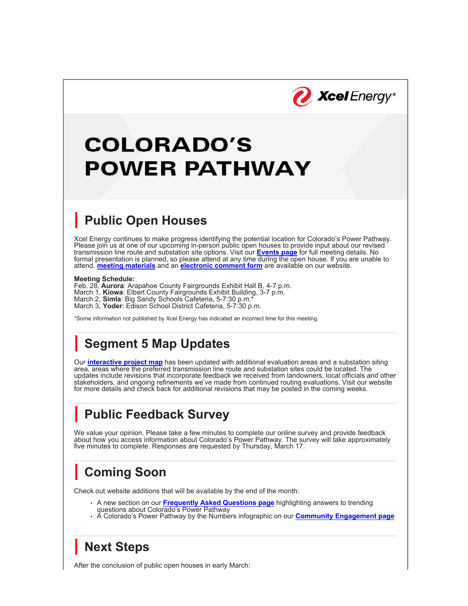

# **COLORADO'S POWER PATHWAY**

#### **| Public Open Houses**

Xcel Energy continues to make progress identifying the potential location for Colorado's Power Pathway. Please join us at one of our upcoming in-person public open houses to provide input about our revised transmission line route and substation site options. Visit our **Events page** for full meeting details. No formal presentation is planned, so please attend at any time during the open house. If you are unable to attend, **meeting materials** and an **electronic comment form** are available on our website.

#### **Meeting Schedule:**

Feb. 28, **Aurora**: Arapahoe County Fairgrounds Exhibit Hall B, 4-7 p.m. March 1, **Kiowa**: Elbert County Fairgrounds Exhibit Building, 3-7 p.m. March 2, **Simla**: Big Sandy Schools Cafeteria, 5-7:30 p.m.\* March 3, **Yoder**: Edison School District Cafeteria, 5-7:30 p.m.

\*Some information not published by Xcel Energy has indicated an incorrect time for this meeting.

### **| Segment 5 Map Updates**

Our **interactive project map** has been updated with additional evaluation areas and a substation siting area, areas where the preferred transmission line route and substation sites could be located. The updates include revisions that incorporate feedback we received from landowners, local officials and other stakeholders, and ongoing refinements we've made from continued routing evaluations. Visit our website for more details and check back for additional revisions that may be posted in the coming weeks.

## **| Public Feedback Survey**

We value your opinion. Please take a few minutes to complete our online survey and provide feedback about how you access information about Colorado's Power Pathway. The survey will take approximately five minutes to complete. Responses are requested by Thursday, March 17.

### **| Coming Soon**

Check out website additions that will be available by the end of the month:

- A new section on our **Frequently Asked Questions page** highlighting answers to trending questions about Colorado's Power Pathway
- A Colorado's Power Pathway by the Numbers infographic on our **Community Engagement page**

### **| Next Steps**

After the conclusion of public open houses in early March: